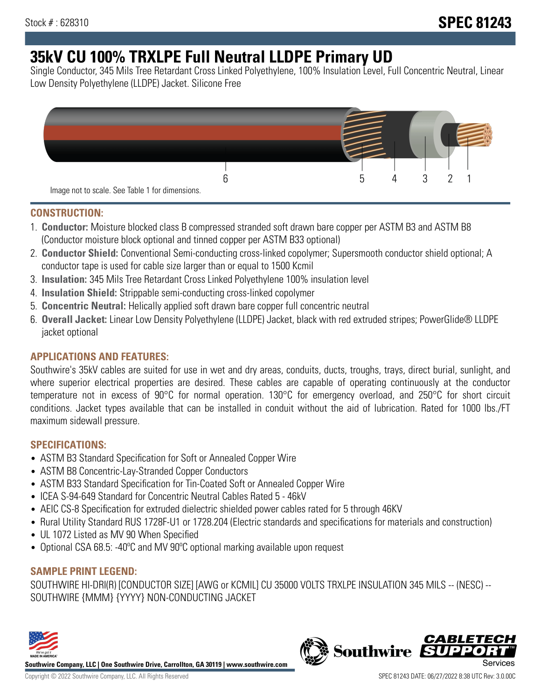# **35kV CU 100% TRXLPE Full Neutral LLDPE Primary UD**

Single Conductor, 345 Mils Tree Retardant Cross Linked Polyethylene, 100% Insulation Level, Full Concentric Neutral, Linear Low Density Polyethylene (LLDPE) Jacket. Silicone Free



### **CONSTRUCTION:**

- 1. **Conductor:** Moisture blocked class B compressed stranded soft drawn bare copper per ASTM B3 and ASTM B8 (Conductor moisture block optional and tinned copper per ASTM B33 optional)
- 2. **Conductor Shield:** Conventional Semi-conducting cross-linked copolymer; Supersmooth conductor shield optional; A conductor tape is used for cable size larger than or equal to 1500 Kcmil
- 3. **Insulation:** 345 Mils Tree Retardant Cross Linked Polyethylene 100% insulation level
- 4. **Insulation Shield:** Strippable semi-conducting cross-linked copolymer
- 5. **Concentric Neutral:** Helically applied soft drawn bare copper full concentric neutral
- 6. **Overall Jacket:** Linear Low Density Polyethylene (LLDPE) Jacket, black with red extruded stripes; PowerGlide® LLDPE jacket optional

# **APPLICATIONS AND FEATURES:**

Southwire's 35kV cables are suited for use in wet and dry areas, conduits, ducts, troughs, trays, direct burial, sunlight, and where superior electrical properties are desired. These cables are capable of operating continuously at the conductor temperature not in excess of 90°C for normal operation. 130°C for emergency overload, and 250°C for short circuit conditions. Jacket types available that can be installed in conduit without the aid of lubrication. Rated for 1000 lbs./FT maximum sidewall pressure.

### **SPECIFICATIONS:**

- ASTM B3 Standard Specification for Soft or Annealed Copper Wire
- ASTM B8 Concentric-Lay-Stranded Copper Conductors
- ASTM B33 Standard Specification for Tin-Coated Soft or Annealed Copper Wire
- ICEA S-94-649 Standard for Concentric Neutral Cables Rated 5 46kV
- AEIC CS-8 Specification for extruded dielectric shielded power cables rated for 5 through 46KV
- Rural Utility Standard RUS 1728F-U1 or 1728.204 (Electric standards and specifications for materials and construction)
- UL 1072 Listed as MV 90 When Specified
- Optional CSA 68.5: -40ºC and MV 90ºC optional marking available upon request

# **SAMPLE PRINT LEGEND:**

SOUTHWIRE HI-DRI(R) [CONDUCTOR SIZE] [AWG or KCMIL] CU 35000 VOLTS TRXLPE INSULATION 345 MILS -- (NESC) -- SOUTHWIRE {MMM} {YYYY} NON-CONDUCTING JACKET



**Southwire Company, LLC | One Southwire Drive, Carrollton, GA 30119 | www.southwire.com**